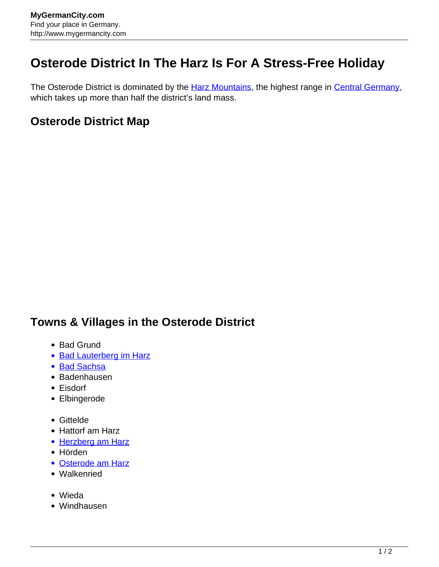## **Osterode District In The Harz Is For A Stress-Free Holiday**

The Osterode District is dominated by the **Harz Mountains**, the highest range in [Central Germany](http://www.mygermancity.com/central-germany), which takes up more than half the district's land mass.

## **Osterode District Map**

## **Towns & Villages in the Osterode District**

- Bad Grund
- [Bad Lauterberg im Harz](http://www.mygermancity.com/bad-lauterberg)
- [Bad Sachsa](http://www.mygermancity.com/bad-sachsa)
- Badenhausen
- Eisdorf
- Elbingerode
- Gittelde
- Hattorf am Harz
- [Herzberg am Harz](http://www.mygermancity.com/herzberg-am-harz)
- Hörden
- [Osterode am Harz](http://www.mygermancity.com/osterode)
- Walkenried
- Wieda
- Windhausen